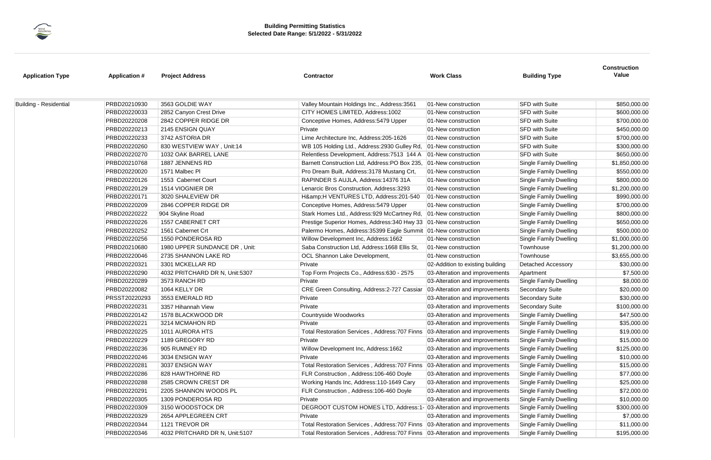| <b>Application Type</b>       | <b>Application #</b> | <b>Project Address</b>         | <b>Contractor</b>                                                               | <b>Work Class</b>                | <b>Building Type</b>          | Value          |
|-------------------------------|----------------------|--------------------------------|---------------------------------------------------------------------------------|----------------------------------|-------------------------------|----------------|
| <b>Building - Residential</b> | PRBD20210930         | 3563 GOLDIE WAY                | Valley Mountain Holdings Inc., Address: 3561                                    | 01-New construction              | <b>SFD with Suite</b>         | \$850,000.00   |
|                               | PRBD20220033         | 2852 Canyon Crest Drive        | CITY HOMES LIMITED, Address: 1002                                               | 01-New construction              | <b>SFD with Suite</b>         | \$600,000.00   |
|                               | PRBD20220208         | 2842 COPPER RIDGE DR           | Conceptive Homes, Address: 5479 Upper                                           | 01-New construction              | <b>SFD with Suite</b>         | \$700,000.00   |
|                               | PRBD20220213         | 2145 ENSIGN QUAY               | Private                                                                         | 01-New construction              | <b>SFD with Suite</b>         | \$450,000.00   |
|                               | PRBD20220233         | 3742 ASTORIA DR                | Lime Architecture Inc, Address: 205-1626                                        | 01-New construction              | <b>SFD with Suite</b>         | \$700,000.00   |
|                               | PRBD20220260         | 830 WESTVIEW WAY, Unit:14      | WB 105 Holding Ltd., Address: 2930 Gulley Rd,                                   | 01-New construction              | <b>SFD with Suite</b>         | \$300,000.00   |
|                               | PRBD20220270         | 1032 OAK BARREL LANE           | Relentless Development, Address: 7513 144 A                                     | 01-New construction              | <b>SFD with Suite</b>         | \$650,000.00   |
|                               | PRBD20210768         | 1887 JENNENS RD                | Barnett Construction Ltd, Address:PO Box 235,                                   | 01-New construction              | <b>Single Family Dwelling</b> | \$1,850,000.00 |
|                               | PRBD20220020         | 1571 Malbec PI                 | Pro Dream Built, Address: 3178 Mustang Crt,                                     | 01-New construction              | <b>Single Family Dwelling</b> | \$550,000.00   |
|                               | PRBD20220126         | 1553 Cabernet Court            | RAPINDER S AUJLA, Address: 14376 31A                                            | 01-New construction              | <b>Single Family Dwelling</b> | \$800,000.00   |
|                               | PRBD20220129         | 1514 VIOGNIER DR               | Lenarcic Bros Construction, Address: 3293                                       | 01-New construction              | <b>Single Family Dwelling</b> | \$1,200,000.00 |
|                               | PRBD20220171         | 3020 SHALEVIEW DR              | H&H VENTURES LTD, Address:201-540                                               | 01-New construction              | <b>Single Family Dwelling</b> | \$990,000.00   |
|                               | PRBD20220209         | 2846 COPPER RIDGE DR           | Conceptive Homes, Address: 5479 Upper                                           | 01-New construction              | <b>Single Family Dwelling</b> | \$700,000.00   |
|                               | PRBD20220222         | 904 Skyline Road               | Stark Homes Ltd., Address: 929 McCartney Rd,                                    | 01-New construction              | <b>Single Family Dwelling</b> | \$800,000.00   |
|                               | PRBD20220226         | 1557 CABERNET CRT              | Prestige Superior Homes, Address: 340 Hwy 33                                    | 01-New construction              | <b>Single Family Dwelling</b> | \$650,000.00   |
|                               | PRBD20220252         | 1561 Cabernet Crt              | Palermo Homes, Address: 35399 Eagle Summit                                      | 01-New construction              | <b>Single Family Dwelling</b> | \$500,000.00   |
|                               | PRBD20220256         | 1550 PONDEROSA RD              | Willow Development Inc, Address: 1662                                           | 01-New construction              | <b>Single Family Dwelling</b> | \$1,000,000.00 |
|                               | PRBD20210680         | 1980 UPPER SUNDANCE DR, Unit:  | Saba Construction Ltd, Address: 1668 Ellis St,                                  | 01-New construction              | Townhouse                     | \$1,200,000.00 |
|                               | PRBD20220046         | 2735 SHANNON LAKE RD           | OCL Shannon Lake Development,                                                   | 01-New construction              | Townhouse                     | \$3,655,000.00 |
|                               | PRBD20220321         | 3301 MCKELLAR RD               | Private                                                                         | 02-Addition to existing building | <b>Detached Accessory</b>     | \$30,000.00    |
|                               | PRBD20220290         | 4032 PRITCHARD DR N, Unit:5307 | Top Form Projects Co., Address:630 - 2575                                       | 03-Alteration and improvements   | Apartment                     | \$7,500.00     |
|                               | PRBD20220289         | 3573 RANCH RD                  | Private                                                                         | 03-Alteration and improvements   | <b>Single Family Dwelling</b> | \$8,000.00     |
|                               | PRBD20220082         | 1064 KELLY DR                  | CRE Green Consulting, Address: 2-727 Cassiar                                    | 03-Alteration and improvements   | Secondary Suite               | \$20,000.00    |
|                               | PRSST20220293        | 3553 EMERALD RD                | Private                                                                         | 03-Alteration and improvements   | Secondary Suite               | \$30,000.00    |
|                               | PRBD20220231         | 3357 Hihannah View             | Private                                                                         | 03-Alteration and improvements   | Secondary Suite               | \$100,000.00   |
|                               | PRBD20220142         | 1578 BLACKWOOD DR              | Countryside Woodworks                                                           | 03-Alteration and improvements   | <b>Single Family Dwelling</b> | \$47,500.00    |
|                               | PRBD20220221         | 3214 MCMAHON RD                | Private                                                                         | 03-Alteration and improvements   | <b>Single Family Dwelling</b> | \$35,000.00    |
|                               | PRBD20220225         | 1011 AURORA HTS                | Total Restoration Services , Address:707 Finns ∣03-Alteration and improvements  |                                  | <b>Single Family Dwelling</b> | \$19,000.00    |
|                               | PRBD20220229         | 1189 GREGORY RD                | Private                                                                         | 03-Alteration and improvements   | <b>Single Family Dwelling</b> | \$15,000.00    |
|                               | PRBD20220236         | 905 RUMNEY RD                  | Willow Development Inc, Address: 1662                                           | 03-Alteration and improvements   | <b>Single Family Dwelling</b> | \$125,000.00   |
|                               | PRBD20220246         | 3034 ENSIGN WAY                | Private                                                                         | 03-Alteration and improvements   | <b>Single Family Dwelling</b> | \$10,000.00    |
|                               | PRBD20220281         | 3037 ENSIGN WAY                | Total Restoration Services, Address: 707 Finns                                  | 03-Alteration and improvements   | <b>Single Family Dwelling</b> | \$15,000.00    |
|                               | PRBD20220286         | 828 HAWTHORNE RD               | FLR Construction, Address: 106-460 Doyle                                        | 03-Alteration and improvements   | <b>Single Family Dwelling</b> | \$77,000.00    |
|                               | PRBD20220288         | 2585 CROWN CREST DR            | Working Hands Inc, Address: 110-1649 Cary                                       | 03-Alteration and improvements   | <b>Single Family Dwelling</b> | \$25,000.00    |
|                               | PRBD20220291         | 2205 SHANNON WOODS PL          | FLR Construction, Address: 106-460 Doyle                                        | 03-Alteration and improvements   | <b>Single Family Dwelling</b> | \$72,000.00    |
|                               | PRBD20220305         | 1309 PONDEROSA RD              | Private                                                                         | 03-Alteration and improvements   | <b>Single Family Dwelling</b> | \$10,000.00    |
|                               | PRBD20220309         | 3150 WOODSTOCK DR              | DEGROOT CUSTOM HOMES LTD, Address:1- 03-Alteration and improvements             |                                  | <b>Single Family Dwelling</b> | \$300,000.00   |
|                               | PRBD20220329         | 2654 APPLEGREEN CRT            | Private                                                                         | 03-Alteration and improvements   | <b>Single Family Dwelling</b> | \$7,000.00     |
|                               | PRBD20220344         | 1121 TREVOR DR                 | Total Restoration Services, Address: 707 Finns   03-Alteration and improvements |                                  | <b>Single Family Dwelling</b> | \$11,000.00    |
|                               | PRBD20220346         | 4032 PRITCHARD DR N, Unit:5107 | Total Restoration Services, Address: 707 Finns 03-Alteration and improvements   |                                  | <b>Single Family Dwelling</b> | \$195,000.00   |



### **Construction**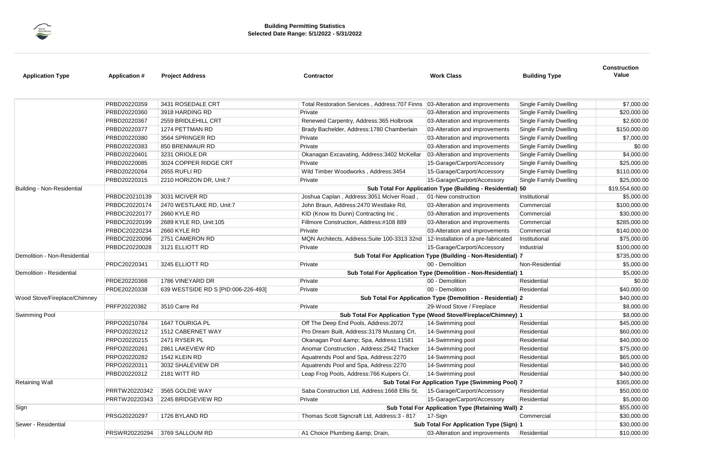

## **Construction**

| <b>Application Type</b>           | <b>Application #</b>                                          | <b>Project Address</b>              | <b>Contractor</b>                              | <b>Work Class</b>                                               | <b>Building Type</b>                                                                                                                                                                              | <b>CONSTRUCTION</b><br>Value |
|-----------------------------------|---------------------------------------------------------------|-------------------------------------|------------------------------------------------|-----------------------------------------------------------------|---------------------------------------------------------------------------------------------------------------------------------------------------------------------------------------------------|------------------------------|
|                                   | PRBD20220359                                                  | 3431 ROSEDALE CRT                   | Total Restoration Services, Address: 707 Finns | 03-Alteration and improvements                                  | <b>Single Family Dwelling</b>                                                                                                                                                                     | \$7,000.00                   |
|                                   | PRBD20220360                                                  | 3918 HARDING RD                     | Private                                        | 03-Alteration and improvements                                  | <b>Single Family Dwelling</b>                                                                                                                                                                     | \$20,000.00                  |
|                                   | PRBD20220367                                                  | 2559 BRIDLEHILL CRT                 | Renewed Carpentry, Address: 365 Holbrook       | 03-Alteration and improvements                                  |                                                                                                                                                                                                   | \$2,600.00                   |
|                                   | PRBD20220377                                                  | 1274 PETTMAN RD                     | Brady Bachelder, Address: 1780 Chamberlain     | 03-Alteration and improvements                                  | <b>Single Family Dwelling</b>                                                                                                                                                                     | \$150,000.00                 |
|                                   | PRBD20220380                                                  | 3564 SPRINGER RD                    | Private                                        | 03-Alteration and improvements                                  | <b>Single Family Dwelling</b>                                                                                                                                                                     | \$7,000.00                   |
|                                   | PRBD20220383                                                  | 850 BRENMAUR RD                     | Private                                        | 03-Alteration and improvements                                  | <b>Single Family Dwelling</b>                                                                                                                                                                     | \$0.00                       |
|                                   | PRBD20220401                                                  | 3231 ORIOLE DR                      | Okanagan Excavating, Address: 3402 McKellar    | 03-Alteration and improvements                                  | <b>Single Family Dwelling</b>                                                                                                                                                                     | \$4,000.00                   |
|                                   | PRBD20220085                                                  | 3024 COPPER RIDGE CRT               | Private                                        | 15-Garage/Carport/Accessory                                     | <b>Single Family Dwelling</b>                                                                                                                                                                     | \$25,000.00                  |
|                                   | PRBD20220264                                                  | 2655 RUFLI RD                       | Wild Timber Woodworks, Address: 3454           | 15-Garage/Carport/Accessory                                     | <b>Single Family Dwelling</b>                                                                                                                                                                     | \$110,000.00                 |
|                                   | PRBD20220315                                                  | 2210 HORIZON DR, Unit:7             | Private                                        | 15-Garage/Carport/Accessory                                     | <b>Single Family Dwelling</b>                                                                                                                                                                     | \$25,000.00                  |
| <b>Building - Non-Residential</b> |                                                               |                                     |                                                | Sub Total For Application Type (Building - Residential) 50      |                                                                                                                                                                                                   | \$19,554,600.00              |
|                                   | PRBDC20210139                                                 | 3031 MCIVER RD                      | Joshua Caplan, Address: 3051 McIver Road,      | 01-New construction                                             | Institutional                                                                                                                                                                                     | \$5,000.00                   |
|                                   | PRBDC20220174                                                 | 2470 WESTLAKE RD, Unit:7            | John Braun, Address: 2470 Westlake Rd,         | 03-Alteration and improvements                                  | Commercial                                                                                                                                                                                        | \$100,000.00                 |
|                                   | PRBDC20220177                                                 | 2660 KYLE RD                        | KID (Know Its Dunn) Contracting Inc,           | 03-Alteration and improvements                                  | Commercial                                                                                                                                                                                        | \$30,000.00                  |
|                                   | PRBDC20220199                                                 | 2689 KYLE RD, Unit:105              | Fillmore Construction, Address:#108 889        | 03-Alteration and improvements                                  | Commercial                                                                                                                                                                                        | \$285,000.00                 |
|                                   | PRBDC20220234                                                 | 2660 KYLE RD                        | Private                                        | 03-Alteration and improvements                                  | Commercial                                                                                                                                                                                        | \$140,000.00                 |
|                                   | PRBDC20220096                                                 | 2751 CAMERON RD                     | MQN Architects, Address: Suite 100-3313 32nd   | 12-Installation of a pre-fabricated                             | Institutional                                                                                                                                                                                     | \$75,000.00                  |
|                                   | PRBDC20220028                                                 | 3121 ELLIOTT RD                     | Private                                        | 15-Garage/Carport/Accessory                                     | Industrial                                                                                                                                                                                        | \$100,000.00                 |
| Demolition - Non-Residential      | Sub Total For Application Type (Building - Non-Residential) 7 |                                     |                                                |                                                                 |                                                                                                                                                                                                   |                              |
|                                   | PRDC20220341                                                  | 3245 ELLIOTT RD                     | Private                                        | 00 - Demolition                                                 | Non-Residential                                                                                                                                                                                   | \$5,000.00                   |
| Demolition - Residential          |                                                               |                                     |                                                | Sub Total For Application Type (Demolition - Non-Residential) 1 |                                                                                                                                                                                                   | \$5,000.00                   |
|                                   | PRDE20220368                                                  | 1786 VINEYARD DR                    | Private                                        | 00 - Demolition                                                 | Residential                                                                                                                                                                                       | \$0.00                       |
|                                   | PRDE20220338                                                  | 639 WESTSIDE RD S [PID:006-226-493] | Private                                        | 00 - Demolition                                                 | Residential                                                                                                                                                                                       | \$40,000.00                  |
| Wood Stove/Fireplace/Chimney      | Sub Total For Application Type (Demolition - Residential) 2   |                                     |                                                |                                                                 |                                                                                                                                                                                                   | \$40,000.00                  |
|                                   | PRFP20220382                                                  | 3510 Carre Rd                       | Private                                        | 29-Wood Stove / Fireplace                                       | Residential                                                                                                                                                                                       | \$8,000.00                   |
| <b>Swimming Pool</b>              |                                                               |                                     |                                                | Sub Total For Application Type (Wood Stove/Fireplace/Chimney) 1 | <b>Single Family Dwelling</b><br>Residential<br>Residential<br>Residential<br>Residential<br>Residential<br>Residential<br>Residential<br>Residential<br>Residential<br>Commercial<br>Residential | \$8,000.00                   |
|                                   | PRPO20210784                                                  | <b>1647 TOURIGA PL</b>              | Off The Deep End Pools, Address: 2072          | 14-Swimming pool                                                |                                                                                                                                                                                                   | \$45,000.00                  |
|                                   | PRPO20220212                                                  | 1512 CABERNET WAY                   | Pro Dream Built, Address: 3178 Mustang Crt,    | 14-Swimming pool                                                |                                                                                                                                                                                                   | \$60,000.00                  |
|                                   | PRPO20220215                                                  | 2471 RYSER PL                       | Okanagan Pool & Spa, Address:11581             | 14-Swimming pool                                                |                                                                                                                                                                                                   | \$40,000.00                  |
|                                   | PRPO20220261                                                  | 2861 LAKEVIEW RD                    | Anomar Construction, Address: 2542 Thacker     | 14-Swimming pool                                                |                                                                                                                                                                                                   | \$75,000.00                  |
|                                   | PRPO20220282                                                  | 1542 KLEIN RD                       | Aquatrends Pool and Spa, Address: 2270         | 14-Swimming pool                                                |                                                                                                                                                                                                   | \$65,000.00                  |
|                                   | PRPO20220311                                                  | 3032 SHALEVIEW DR                   | Aquatrends Pool and Spa, Address: 2270         | 14-Swimming pool                                                |                                                                                                                                                                                                   | \$40,000.00                  |
|                                   | PRBD20220312                                                  | 2181 WITT RD                        | Leap Frog Pools, Address: 766 Kuipers Cr,      | 14-Swimming pool                                                |                                                                                                                                                                                                   | \$40,000.00                  |
| <b>Retaining Wall</b>             | Sub Total For Application Type (Swimming Pool) 7              |                                     |                                                |                                                                 |                                                                                                                                                                                                   | \$365,000.00                 |
|                                   | PRRTW20220342                                                 | 3565 GOLDIE WAY                     | Saba Construction Ltd, Address: 1668 Ellis St, | 15-Garage/Carport/Accessory                                     |                                                                                                                                                                                                   | \$50,000.00                  |
|                                   | PRRTW20220343                                                 | 2245 BRIDGEVIEW RD                  | Private                                        | 15-Garage/Carport/Accessory                                     |                                                                                                                                                                                                   | \$5,000.00                   |
| Sign                              | Sub Total For Application Type (Retaining Wall) 2             |                                     |                                                |                                                                 |                                                                                                                                                                                                   | \$55,000.00                  |
|                                   | PRSG20220297                                                  | 1726 BYLAND RD                      | Thomas Scott Signcraft Ltd, Address: 3 - 817   | $17-Sign$                                                       |                                                                                                                                                                                                   | \$30,000.00                  |
| Sewer - Residential               |                                                               |                                     |                                                | Sub Total For Application Type (Sign) 1                         |                                                                                                                                                                                                   | \$30,000.00                  |
|                                   | PRSWR20220294                                                 | 3769 SALLOUM RD                     | A1 Choice Plumbing & Drain,                    | 03-Alteration and improvements                                  |                                                                                                                                                                                                   | \$10,000.00                  |